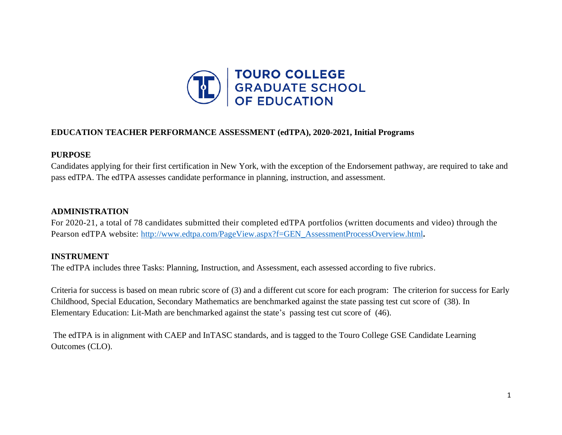

## **EDUCATION TEACHER PERFORMANCE ASSESSMENT (edTPA), 2020-2021, Initial Programs**

## **PURPOSE**

Candidates applying for their first certification in New York, with the exception of the Endorsement pathway, are required to take and pass edTPA. The edTPA assesses candidate performance in planning, instruction, and assessment.

# **ADMINISTRATION**

For 2020-21, a total of 78 candidates submitted their completed edTPA portfolios (written documents and video) through the Pearson edTPA website: [http://www.edtpa.com/PageView.aspx?f=GEN\\_AssessmentProcessOverview.html](http://www.edtpa.com/PageView.aspx?f=GEN_AssessmentProcessOverview.html).

# **INSTRUMENT**

The edTPA includes three Tasks: Planning, Instruction, and Assessment, each assessed according to five rubrics.

Criteria for success is based on mean rubric score of (3) and a different cut score for each program: The criterion for success for Early Childhood, Special Education, Secondary Mathematics are benchmarked against the state passing test cut score of (38). In Elementary Education: Lit-Math are benchmarked against the state's passing test cut score of (46).

The edTPA is in alignment with CAEP and InTASC standards, and is tagged to the Touro College GSE Candidate Learning Outcomes (CLO).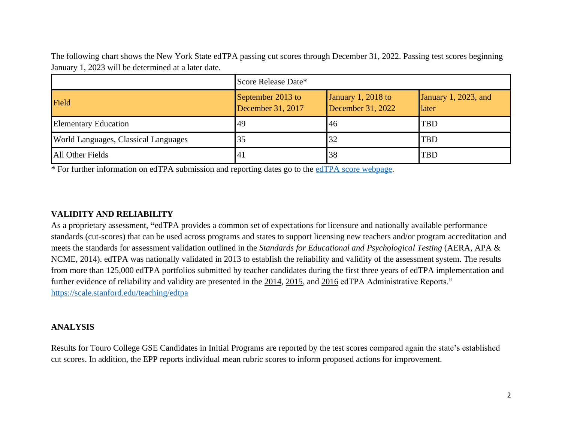The following chart shows the New York State edTPA passing cut scores through December 31, 2022. Passing test scores beginning January 1, 2023 will be determined at a later date.

|                                             | Score Release Date*                    |                                         |                               |  |
|---------------------------------------------|----------------------------------------|-----------------------------------------|-------------------------------|--|
| Field                                       | September 2013 to<br>December 31, 2017 | January 1, 2018 to<br>December 31, 2022 | January 1, 2023, and<br>later |  |
| Elementary Education                        | 49                                     | 46                                      | <b>TBD</b>                    |  |
| <b>World Languages, Classical Languages</b> | 35                                     | 32                                      | <b>TBD</b>                    |  |
| All Other Fields                            | 41                                     | 38                                      | <b>TBD</b>                    |  |

\* For further information on edTPA submission and reporting dates go to the [edTPA score webpage.](http://www.edtpa.com/PageView.aspx?f=GEN_Scores.html)

### **VALIDITY AND RELIABILITY**

As a proprietary assessment, **"**edTPA provides a common set of expectations for licensure and nationally available performance standards (cut-scores) that can be used across programs and states to support licensing new teachers and/or program accreditation and meets the standards for assessment validation outlined in the *Standards for Educational and Psychological Testing* (AERA, APA & NCME, 2014). edTPA was [nationally](https://secure.aacte.org/apps/rl/res_get.php?fid=827&ref=edtpa) validated in 2013 to establish the reliability and validity of the assessment system. The results from more than 125,000 edTPA portfolios submitted by teacher candidates during the first three years of edTPA implementation and further evidence of reliability and validity are presented in the [2014,](https://secure.aacte.org/apps/rl/resource.php?resid=558&ref=edtpa) [2015,](https://secure.aacte.org/apps/rl/resource.php?resid=647&ref=edtpa) and [2016](https://secure.aacte.org/apps/rl/res_get.php?fid=3621&ref=rl) edTPA Administrative Reports." <https://scale.stanford.edu/teaching/edtpa>

#### **ANALYSIS**

Results for Touro College GSE Candidates in Initial Programs are reported by the test scores compared again the state's established cut scores. In addition, the EPP reports individual mean rubric scores to inform proposed actions for improvement.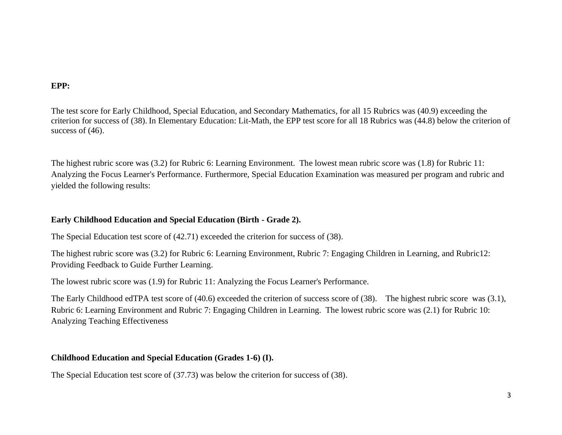#### **EPP:**

The test score for Early Childhood, Special Education, and Secondary Mathematics, for all 15 Rubrics was (40.9) exceeding the criterion for success of (38). In Elementary Education: Lit-Math, the EPP test score for all 18 Rubrics was (44.8) below the criterion of success of  $(46)$ .

The highest rubric score was (3.2) for Rubric 6: Learning Environment. The lowest mean rubric score was (1.8) for Rubric 11: Analyzing the Focus Learner's Performance. Furthermore, Special Education Examination was measured per program and rubric and yielded the following results:

# **Early Childhood Education and Special Education (Birth - Grade 2).**

The Special Education test score of (42.71) exceeded the criterion for success of (38).

The highest rubric score was (3.2) for Rubric 6: Learning Environment, Rubric 7: Engaging Children in Learning, and Rubric12: Providing Feedback to Guide Further Learning.

The lowest rubric score was (1.9) for Rubric 11: Analyzing the Focus Learner's Performance.

The Early Childhood edTPA test score of (40.6) exceeded the criterion of success score of (38). The highest rubric score was (3.1), Rubric 6: Learning Environment and Rubric 7: Engaging Children in Learning. The lowest rubric score was (2.1) for Rubric 10: Analyzing Teaching Effectiveness

## **Childhood Education and Special Education (Grades 1-6) (I).**

The Special Education test score of (37.73) was below the criterion for success of (38).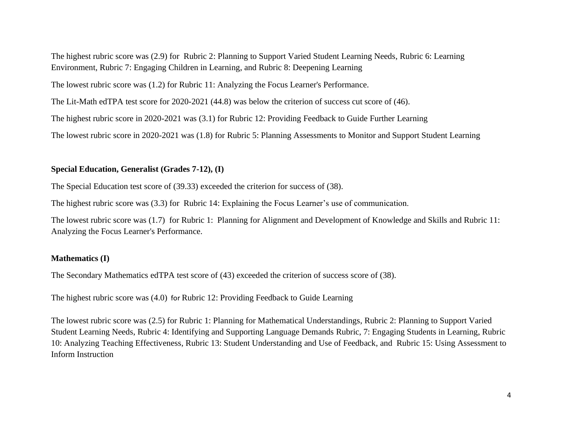The highest rubric score was (2.9) for Rubric 2: Planning to Support Varied Student Learning Needs, Rubric 6: Learning Environment, Rubric 7: Engaging Children in Learning, and Rubric 8: Deepening Learning

The lowest rubric score was (1.2) for Rubric 11: Analyzing the Focus Learner's Performance.

The Lit-Math edTPA test score for 2020-2021 (44.8) was below the criterion of success cut score of (46).

The highest rubric score in 2020-2021 was (3.1) for Rubric 12: Providing Feedback to Guide Further Learning

The lowest rubric score in 2020-2021 was (1.8) for Rubric 5: Planning Assessments to Monitor and Support Student Learning

# **Special Education, Generalist (Grades 7-12), (I)**

The Special Education test score of (39.33) exceeded the criterion for success of (38).

The highest rubric score was (3.3) for Rubric 14: Explaining the Focus Learner's use of communication.

The lowest rubric score was (1.7) for Rubric 1: Planning for Alignment and Development of Knowledge and Skills and Rubric 11: Analyzing the Focus Learner's Performance.

## **Mathematics (I)**

The Secondary Mathematics edTPA test score of (43) exceeded the criterion of success score of (38).

The highest rubric score was (4.0) for Rubric 12: Providing Feedback to Guide Learning

The lowest rubric score was (2.5) for Rubric 1: Planning for Mathematical Understandings, Rubric 2: Planning to Support Varied Student Learning Needs, Rubric 4: Identifying and Supporting Language Demands Rubric, 7: Engaging Students in Learning, Rubric 10: Analyzing Teaching Effectiveness, Rubric 13: Student Understanding and Use of Feedback, and Rubric 15: Using Assessment to Inform Instruction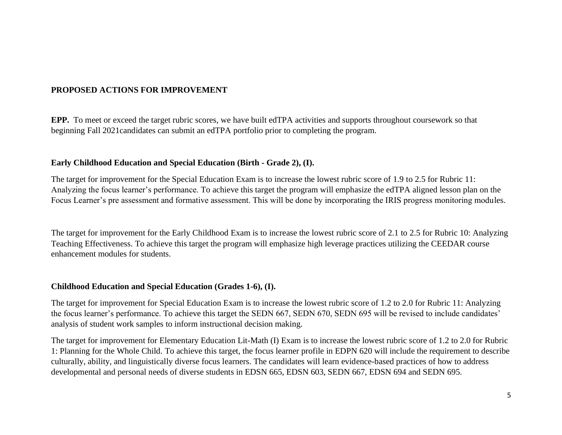# **PROPOSED ACTIONS FOR IMPROVEMENT**

**EPP.** To meet or exceed the target rubric scores, we have built edTPA activities and supports throughout coursework so that beginning Fall 2021candidates can submit an edTPA portfolio prior to completing the program.

#### **Early Childhood Education and Special Education (Birth - Grade 2), (I).**

The target for improvement for the Special Education Exam is to increase the lowest rubric score of 1.9 to 2.5 for Rubric 11: Analyzing the focus learner's performance. To achieve this target the program will emphasize the edTPA aligned lesson plan on the Focus Learner's pre assessment and formative assessment. This will be done by incorporating the IRIS progress monitoring modules.

The target for improvement for the Early Childhood Exam is to increase the lowest rubric score of 2.1 to 2.5 for Rubric 10: Analyzing Teaching Effectiveness. To achieve this target the program will emphasize high leverage practices utilizing the CEEDAR course enhancement modules for students.

#### **Childhood Education and Special Education (Grades 1-6), (I).**

The target for improvement for Special Education Exam is to increase the lowest rubric score of 1.2 to 2.0 for Rubric 11: Analyzing the focus learner's performance. To achieve this target the SEDN 667, SEDN 670, SEDN 695 will be revised to include candidates' analysis of student work samples to inform instructional decision making.

The target for improvement for Elementary Education Lit-Math (I) Exam is to increase the lowest rubric score of 1.2 to 2.0 for Rubric 1: Planning for the Whole Child. To achieve this target, the focus learner profile in EDPN 620 will include the requirement to describe culturally, ability, and linguistically diverse focus learners. The candidates will learn evidence-based practices of how to address developmental and personal needs of diverse students in EDSN 665, EDSN 603, SEDN 667, EDSN 694 and SEDN 695.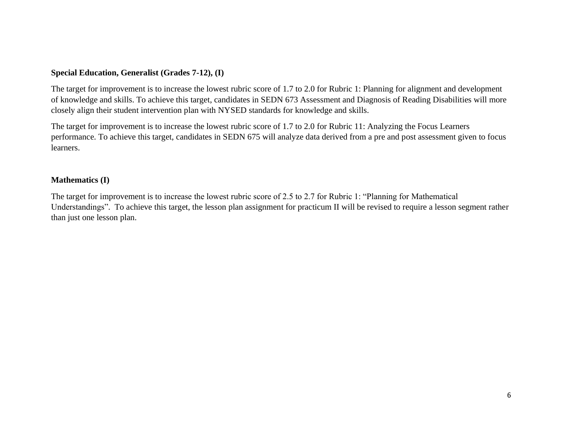## **Special Education, Generalist (Grades 7-12), (I)**

The target for improvement is to increase the lowest rubric score of 1.7 to 2.0 for Rubric 1: Planning for alignment and development of knowledge and skills. To achieve this target, candidates in SEDN 673 Assessment and Diagnosis of Reading Disabilities will more closely align their student intervention plan with NYSED standards for knowledge and skills.

The target for improvement is to increase the lowest rubric score of 1.7 to 2.0 for Rubric 11: Analyzing the Focus Learners performance. To achieve this target, candidates in SEDN 675 will analyze data derived from a pre and post assessment given to focus learners.

#### **Mathematics (I)**

The target for improvement is to increase the lowest rubric score of 2.5 to 2.7 for Rubric 1: "Planning for Mathematical Understandings". To achieve this target, the lesson plan assignment for practicum II will be revised to require a lesson segment rather than just one lesson plan.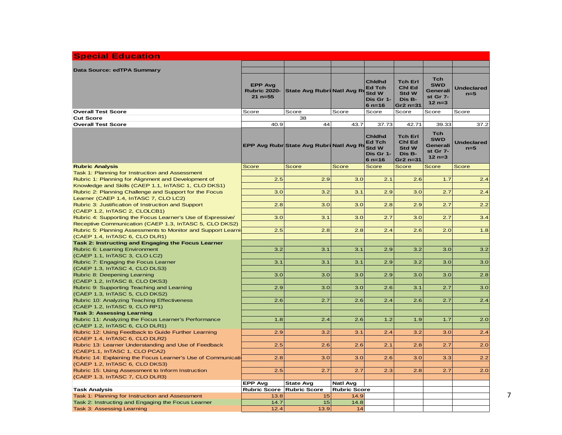| <b>Special Education</b>                                                                     |                                                      |                                         |                     |                                                                           |                                                                  |                                                              |                            |
|----------------------------------------------------------------------------------------------|------------------------------------------------------|-----------------------------------------|---------------------|---------------------------------------------------------------------------|------------------------------------------------------------------|--------------------------------------------------------------|----------------------------|
|                                                                                              |                                                      |                                         |                     |                                                                           |                                                                  |                                                              |                            |
| Data Source: edTPA Summary                                                                   | <b>EPP Avg</b><br><b>Rubric 2020-</b><br>$21 n = 55$ | State Avg Rubri Natl Avg R              |                     | <b>Chidhd</b><br>Ed Tch<br><b>Std W</b><br>Dis Gr 1-<br>$6 n = 16$        | <b>Tch Erl</b><br>Chl Ed<br><b>Std W</b><br>Dis B-<br>Gr2 $n=31$ | <b>Tch</b><br><b>SWD</b><br>Generali<br>st Gr 7-<br>$12 n=3$ | <b>Undeclared</b><br>$n=5$ |
| <b>Overall Test Score</b>                                                                    | Score                                                | Score                                   | Score               | Score                                                                     | Score                                                            | Score                                                        | Score                      |
| <b>Cut Score</b>                                                                             |                                                      | 38                                      |                     |                                                                           |                                                                  |                                                              |                            |
| <b>Overall Test Score</b>                                                                    | 40.9                                                 | 44                                      | 43.7                | 37.73                                                                     | 42.71                                                            | 39.33                                                        | 37.2                       |
|                                                                                              |                                                      | EPP Avg Rubr State Avg Rubri Natl Avg R |                     | <b>Chidhd</b><br><b>Ed Tch</b><br><b>Std W</b><br>Dis Gr 1-<br>$6 n = 16$ | <b>Tch Erl</b><br>Chl Ed<br><b>Std W</b><br>Dis B-<br>Gr2 $n=31$ | <b>Tch</b><br><b>SWD</b><br>Generali<br>st Gr 7-<br>$12 n=3$ | <b>Undeclared</b><br>$n=5$ |
| <b>Rubric Analysis</b>                                                                       | Score                                                | <b>Score</b>                            | <b>Score</b>        | <b>Score</b>                                                              | <b>Score</b>                                                     | Score                                                        | Score                      |
| Task 1: Planning for Instruction and Assessment                                              |                                                      |                                         |                     |                                                                           |                                                                  |                                                              |                            |
| Rubric 1: Planning for Alignment and Development of                                          | 2.5                                                  | 2.9                                     | 3.0                 | 2.1                                                                       | 2.6                                                              | 1.7                                                          | 2.4                        |
| Knowledge and Skills (CAEP 1.1, InTASC 1, CLO DKS1)                                          |                                                      |                                         |                     |                                                                           |                                                                  |                                                              |                            |
| Rubric 2: Planning Challenge and Support for the Focus                                       | 3.0                                                  | 3.2                                     | 3.1                 | 2.9                                                                       | 3.0                                                              | 2.7                                                          | 2.4                        |
| Learner (CAEP 1.4, InTASC 7, CLO LC2)                                                        |                                                      |                                         |                     |                                                                           |                                                                  |                                                              |                            |
| Rubric 3: Justification of Instruction and Support                                           | 2.8                                                  | 3.0                                     | 3.0                 | 2.8                                                                       | 2.9                                                              | 2.7                                                          | 2.2                        |
| (CAEP 1.2, InTASC 2, CLOLCB1)<br>Rubric 4: Supporting the Focus Learner's Use of Expressive/ | 3.0                                                  | 3.1                                     | 3.0                 | 2.7                                                                       | 3.0                                                              | 2.7                                                          | 3.4                        |
| Receptive Communication (CAEP 1.3, InTASC 5, CLO DKS2)                                       |                                                      |                                         |                     |                                                                           |                                                                  |                                                              |                            |
| Rubric 5: Planning Assessments to Monitor and Support Learni                                 | 2.5                                                  | 2.8                                     | 2.8                 | 2.4                                                                       | 2.6                                                              | 2.0                                                          | 1.8                        |
| (CAEP 1.4, InTASC 6, CLO DLR1)                                                               |                                                      |                                         |                     |                                                                           |                                                                  |                                                              |                            |
| Task 2: Instructing and Engaging the Focus Learner                                           |                                                      |                                         |                     |                                                                           |                                                                  |                                                              |                            |
| Rubric 6: Learning Environment                                                               | 3.2                                                  | 3.1                                     | 3.1                 | 2.9                                                                       | 3.2                                                              | 3.0                                                          | 3.2                        |
| (CAEP 1.1, InTASC 3, CLO LC2)                                                                |                                                      |                                         |                     |                                                                           |                                                                  |                                                              |                            |
| Rubric 7: Engaging the Focus Learner                                                         | 3.1                                                  | 3.1                                     | 3.1                 | 2.9                                                                       | 3.2                                                              | 3.0                                                          | 3.0                        |
| (CAEP 1.3, InTASC 4, CLO DLS3)                                                               |                                                      |                                         |                     |                                                                           |                                                                  |                                                              |                            |
| Rubric 8: Deepening Learning                                                                 | 3.0                                                  | 3.0                                     | 3.0                 | 2.9                                                                       | 3.0                                                              | 3.0                                                          | 2.8                        |
| (CAEP 1.2, InTASC 8, CLO DKS3)                                                               |                                                      |                                         |                     |                                                                           |                                                                  |                                                              |                            |
| Rubric 9: Supporting Teaching and Learning                                                   | 2.9                                                  | 3.0                                     | 3.0                 | 2.6                                                                       | 3.1                                                              | 2.7                                                          | 3.0                        |
| (CAEP 1.3, InTASC 5, CLO DKS2)                                                               |                                                      |                                         |                     |                                                                           |                                                                  |                                                              |                            |
| Rubric 10: Analyzing Teaching Effectiveness                                                  | 2.6                                                  | 2.7                                     | 2.6                 | 2.4                                                                       | 2.6                                                              | 2.7                                                          | 2.4                        |
| (CAEP 1.2, InTASC 9, CLO RP1)                                                                |                                                      |                                         |                     |                                                                           |                                                                  |                                                              |                            |
| <b>Task 3: Assessing Learning</b>                                                            |                                                      |                                         |                     |                                                                           |                                                                  |                                                              |                            |
| Rubric 11: Analyzing the Focus Learner's Performance                                         | 1.8                                                  | 2.4                                     | 2.6                 | 1.2                                                                       | 1.9                                                              | 1.7                                                          | 2.0                        |
| (CAEP 1.2, InTASC 6, CLO DLR1)<br>Rubric 12: Using Feedback to Guide Further Learning        | 2.9                                                  | 3.2                                     | 3.1                 | 2.4                                                                       | 3.2                                                              | 3.0                                                          | 2.4                        |
| (CAEP 1.4, InTASC 6, CLO DLR2)                                                               |                                                      |                                         |                     |                                                                           |                                                                  |                                                              |                            |
| Rubric 13: Learner Understanding and Use of Feedback                                         | 2.5                                                  | 2.6                                     | 2.6                 | 2.1                                                                       | 2.8                                                              | 2.7                                                          | 2.0                        |
| (CAEP1.1, InTASC 1, CLO PCA2)                                                                |                                                      |                                         |                     |                                                                           |                                                                  |                                                              |                            |
| Rubric 14: Explaining the Focus Learner's Use of Communication                               | 2.8                                                  | 3.0                                     | 3.0                 | 2.6                                                                       | 3.0                                                              | 3.3                                                          | 2.2                        |
| (CAEP 1.2, InTASC 6, CLO DKS3)                                                               |                                                      |                                         |                     |                                                                           |                                                                  |                                                              |                            |
| Rubric 15: Using Assessment to Inform Instruction                                            | 2.5                                                  | 2.7                                     | 2.7                 | 2.3                                                                       | 2.8                                                              | 2.7                                                          | 2.0                        |
| (CAEP 1.3, InTASC 7, CLO DLR3)                                                               |                                                      |                                         |                     |                                                                           |                                                                  |                                                              |                            |
|                                                                                              | <b>EPP Avg</b>                                       | <b>State Avg</b>                        | Natl Avg            |                                                                           |                                                                  |                                                              |                            |
| <b>Task Analysis</b>                                                                         | <b>Rubric Score</b>                                  | <b>Rubric Score</b>                     | <b>Rubric Score</b> |                                                                           |                                                                  |                                                              |                            |
| Task 1: Planning for Instruction and Assessment                                              | 13.8                                                 | 15                                      | 14.9                |                                                                           |                                                                  |                                                              |                            |
| Task 2: Instructing and Engaging the Focus Learner                                           | 14.7<br>12.4                                         | 15<br>13.9                              | 14.8<br>14          |                                                                           |                                                                  |                                                              |                            |
| Task 3: Assessing Learning                                                                   |                                                      |                                         |                     |                                                                           |                                                                  |                                                              |                            |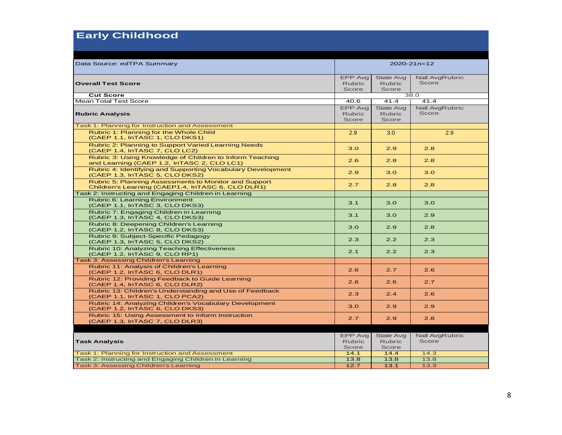# **Early Childhood**

| Data Source: edTPA Summary                                                                                 | $2020 - 21n = 12$                        |                                            |                         |  |
|------------------------------------------------------------------------------------------------------------|------------------------------------------|--------------------------------------------|-------------------------|--|
| <b>Overall Test Score</b>                                                                                  | EPP Avg<br><b>Rubric</b><br>Score        | <b>State Avg</b><br><b>Rubric</b><br>Score | Natl AvgRubric<br>Score |  |
| <b>Cut Score</b>                                                                                           | 38.0                                     |                                            |                         |  |
| <b>Mean Total Test Score</b>                                                                               | 40.6                                     | 41.4                                       | 41.4                    |  |
| <b>Rubric Analysis</b>                                                                                     | <b>EPP Avg</b><br><b>Rubric</b><br>Score | <b>State Avg</b><br><b>Rubric</b><br>Score | Natl AvgRubric<br>Score |  |
| Task 1: Planning for Instruction and Assessment                                                            |                                          |                                            |                         |  |
| Rubric 1: Planning for the Whole Child<br>(CAEP 1.1, InTASC 1, CLO DKS1)                                   | 2.9                                      | 3.0                                        | 2.9                     |  |
| Rubric 2: Planning to Support Varied Learning Needs<br>(CAEP 1.4, InTASC 7, CLO LC2)                       | 3.0                                      | 2.9                                        | 2.8                     |  |
| Rubric 3: Using Knowledge of Children to Inform Teaching<br>and Learning (CAEP 1.2, InTASC 2, CLO LC1)     | 2.6                                      | 2.8                                        | 2.8                     |  |
| Rubric 4: Identifying and Supporting Vocabulary Development<br>(CAEP 1.3, InTASC 5, CLO DKS2)              | 2.9                                      | 3.0                                        | 3.0                     |  |
| Rubric 5: Planning Assessments to Monitor and Support<br>Children's Learning (CAEP1.4, InTASC 6, CLO DLR1) | 2.7                                      | 2.8                                        | 2.8                     |  |
| Task 2: Instructing and Engaging Children in Learning                                                      |                                          |                                            |                         |  |
| Rubric 6: Learning Environment<br>(CAEP 1.1, InTASC 3, CLO DKS3)                                           | 3.1                                      | 3.0                                        | 3.0                     |  |
| Rubric 7: Engaging Children in Learning<br>(CAEP 1.3, InTASC 4, CLO DKS3)                                  | 3.1                                      | 3.0                                        | 2.9                     |  |
| Rubric 8: Deepening Children's Learning<br>(CAEP 1.2, InTASC 8, CLO DKS3)                                  | 3.0                                      | 2.9                                        | 2.8                     |  |
| Rubric 9: Subject-Specific Pedagogy<br>(CAEP 1.3, InTASC 5, CLO DKS2)                                      | 2.3                                      | 2.2                                        | 2.3                     |  |
| Rubric 10: Analyzing Teaching Effectiveness<br>(CAEP 1.2, InTASC 9, CLO RP1)                               | 2.1                                      | 2.2                                        | 2.3                     |  |
| Task 3: Assessing Children's Learning                                                                      |                                          |                                            |                         |  |
| Rubric 11: Analysis of Children's Learning<br>(CAEP 1.2, InTASC 6, CLO DLR1)                               | 2.6                                      | 2.7                                        | 2.6                     |  |
| Rubric 12: Providing Feedback to Guide Learning<br>(CAEP 1.4, InTASC 6, CLO DLR2)                          | 2.6                                      | 2.6                                        | 2.7                     |  |
| Rubric 13: Children's Understanding and Use of Feedback<br>(CAEP 1.1, InTASC 1, CLO PCA2)                  | 2.3                                      | 2.4                                        | 2.6                     |  |
| Rubric 14: Analyzing Children's Vocabulary Development<br>(CAEP 1.2, InTASC 6, CLO DKS3)                   | 3.0                                      | 2.9                                        | 2.9                     |  |
| Rubric 15: Using Assessment to Inform Instruction<br>(CAEP 1.3, InTASC 7, CLO DLR3)                        | 2.7                                      | 2.9                                        | 2.8                     |  |
|                                                                                                            |                                          |                                            |                         |  |
| <b>Task Analysis</b>                                                                                       | EPP Avg<br><b>Rubric</b><br>Score        | <b>State Avg</b><br><b>Rubric</b><br>Score | Natl AvgRubric<br>Score |  |
| Task 1: Planning for Instruction and Assessment                                                            | 14.1                                     | 14.4                                       | 14.3                    |  |
| Task 2: Instructing and Engaging Children in Learning                                                      | 13.8                                     | 13.8                                       | 13.8                    |  |
| Task 3: Assessing Children's Learning                                                                      | 12.7                                     | 13.1                                       | 13.3                    |  |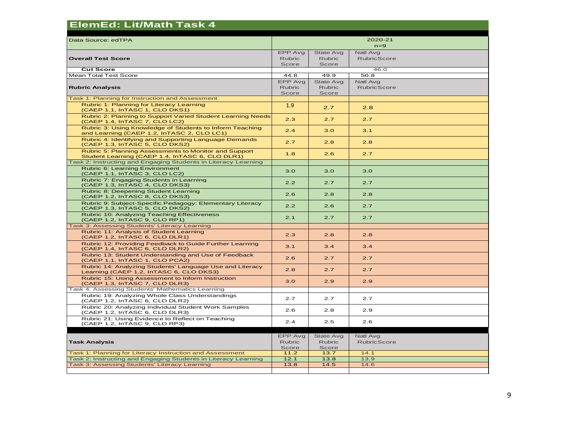| <b>ElemEd: Lit/Math Task 4</b>                                                                           |                                   |                                            |                                |  |
|----------------------------------------------------------------------------------------------------------|-----------------------------------|--------------------------------------------|--------------------------------|--|
| Data Source: edTPA                                                                                       |                                   |                                            | 2020-21<br>$n=9$               |  |
| <b>Overall Test Score</b>                                                                                | EPP Avg<br><b>Rubric</b><br>Score | State Avg<br><b>Rubric</b><br>Score        | Natl Avg<br><b>RubricScore</b> |  |
| <b>Cut Score</b>                                                                                         |                                   |                                            | 46.0                           |  |
| Mean Total Test Score                                                                                    | 44.8                              | 49.9                                       | 50.8                           |  |
| <b>Rubric Analysis</b>                                                                                   | EPP Avg<br><b>Rubric</b><br>Score | <b>State Avg</b><br><b>Rubric</b><br>Score | Natl Avg<br><b>RubricScore</b> |  |
| Task 1: Planning for Instruction and Assessment                                                          |                                   |                                            |                                |  |
| Rubric 1: Planning for Literacy Learning<br>(CAEP 1.1, InTASC 1, CLO DKS1)                               | 1.9                               | 2.7                                        | 2.8                            |  |
| Rubric 2: Planning to Support Varied Student Learning Needs<br>(CAEP 1.4, InTASC 7, CLO LC2)             | 2.3                               | 2.7                                        | 2.7                            |  |
| Rubric 3: Using Knowledge of Students to Inform Teaching<br>and Learning (CAEP 1.2, InTASC 2, CLO LC1)   | 2.4                               | 3.0                                        | 3.1                            |  |
| Rubric 4: Identifying and Supporting Language Demands<br>(CAEP 1.3, InTASC 5, CLO DKS2)                  | 2.7                               | 2.8                                        | 2.8                            |  |
| Rubric 5: Planning Assessments to Monitor and Support<br>Student Learning (CAEP 1.4, InTASC 6, CLO DLR1) | 1.8                               | 2.6                                        | 2.7                            |  |
| Task 2: Instructing and Engaging Students in Literacy Learning                                           |                                   |                                            |                                |  |
| Rubric 6: Learning Environment<br>(CAEP 1.1, InTASC 3, CLO LC2)                                          | 3.0                               | 3.0                                        | 3.0                            |  |
| Rubric 7: Engaging Students in Learning<br>(CAEP 1.3, InTASC 4, CLO DKS3)                                | 2.2                               | 2.7                                        | 2.7                            |  |
| Rubric 8: Deepening Student Learning<br>(CAEP 1.2, InTASC 8, CLO DKS3)                                   | 2.6                               | 2.8                                        | 2.8                            |  |
| Rubric 9: Subject-Specific Pedagogy: Elementary Literacy<br>(CAEP 1.3, InTASC 5, CLO DKS2)               | 2.2                               | 2.6                                        | 2.7                            |  |
| Rubric 10: Analyzing Teaching Effectiveness<br>(CAEP 1.2, InTASC 9, CLO RP1)                             | 2.1                               | 2.7                                        | 2.7                            |  |
| Task 3: Assessing Students' Literacy Learning                                                            |                                   |                                            |                                |  |
| Rubric 11: Analysis of Student Learning<br>(CAEP 1.2, InTASC 6, CLO DLR1)                                | 2.3                               | 2.8                                        | 2.8                            |  |
| Rubric 12: Providing Feedback to Guide Further Learning<br>(CAEP 1.4, InTASC 6, CLO DLR2)                | 3.1                               | 3.4                                        | 3.4                            |  |
| Rubric 13: Student Understanding and Use of Feedback<br>(CAEP 1.1, InTASC 1, CLO PCA2)                   | 2.6                               | 2.7                                        | 2.7                            |  |
| Rubric 14: Analyzing Students' Language Use and Literacy<br>Learning (CAEP 1.2, InTASC 6, CLO DKS3)      | 2.8                               | 2.7                                        | 2.7                            |  |
| Rubric 15: Using Assessment to Inform Instruction<br>(CAEP 1.3, InTASC 7, CLO DLR3)                      | 3.0                               | 2.9                                        | 2.9                            |  |
| Task 4: Assessing Students' Mathematics Learning                                                         |                                   |                                            |                                |  |
| Rubric 19: Analyzing Whole Class Understandings<br>(CAEP 1.2, InTASC 6, CLO DLR2)                        | 2.7                               | 2.7                                        | 2.7                            |  |
| Rubric 20: Analyzing Individual Student Work Samples<br>(CAEP 1.2, InTASC 6, CLO DLR3)                   | 2.6                               | 2.8                                        | 2.9                            |  |
| Rubric 21: Using Evidence to Reflect on Teaching<br>(CAEP 1.2, InTASC 9, CLO RP3)                        | 2.4                               | 2.5                                        | 2.6                            |  |
|                                                                                                          |                                   |                                            |                                |  |
|                                                                                                          | EPP Avg                           | <b>State Avg</b>                           | Natl Avg                       |  |
| <b>Task Analysis</b>                                                                                     | <b>Rubric</b>                     | <b>Rubric</b>                              | <b>RubricScore</b>             |  |
| Task 1: Planning for Literacy Instruction and Assessment                                                 | Score<br>11.2                     | Score<br>13.7                              | 14.1                           |  |
| Task 2: Instructing and Engaging Students in Literacy Learning                                           | 12.1                              | 13.8                                       | 13.9                           |  |
| Task 3: Assessing Students' Literacy Learning                                                            | 13.8                              | 14.5                                       | 14.6                           |  |
|                                                                                                          |                                   |                                            |                                |  |